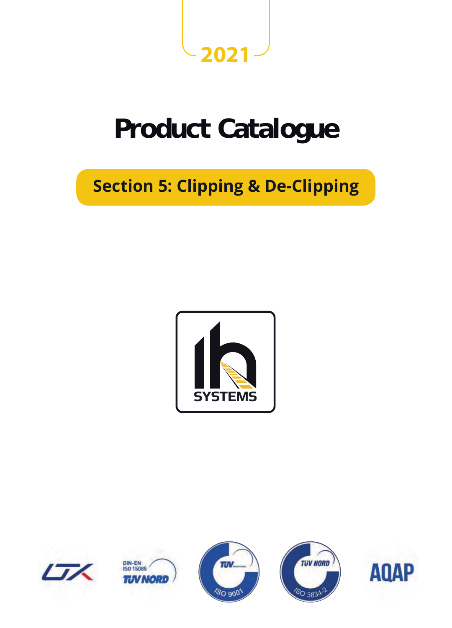

# **Product Catalogue**

## **Section 5: Clipping & De-Clipping**





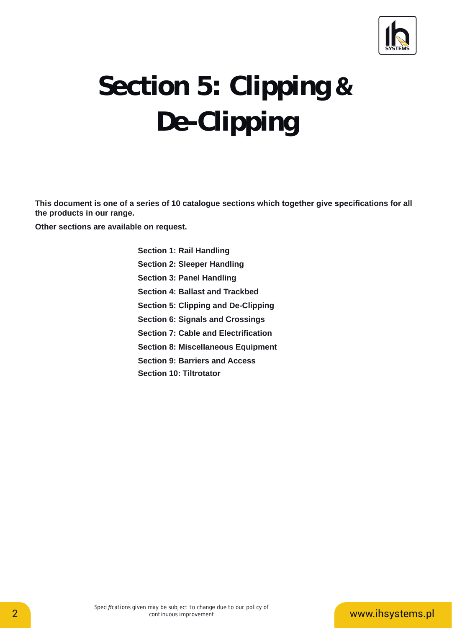

# $De-Clipping$ **Section 5: Clipping &**

**This document is one of a series of 10 catalogue sections which together give specifi cations for all the products in our range.**

**Other sections are available on request.**

**Section 1: Rail Handling Section 2: Sleeper Handling Section 3: Panel Handling Section 4: Ballast and Trackbed Section 5: Clipping and De-Clipping Section 6: Signals and Crossings** Section 6: Signals and Crossings<br>Section 7: Cable and Electrification **Section 8: Miscellaneous Equipment** Section 8: Miscellaneous Equipmen<br>Section 9: Barriers and Access **Section 10: Tiltrotator** This document is one of a series of 10 catalogue sectic<br>the products in our range.<br>Other sections are available on request.<br>Section 1: Rail Handling<br>Section 2: Sleeper Handling<br>Section 3: Panel Handling<br>Section 4: Ballast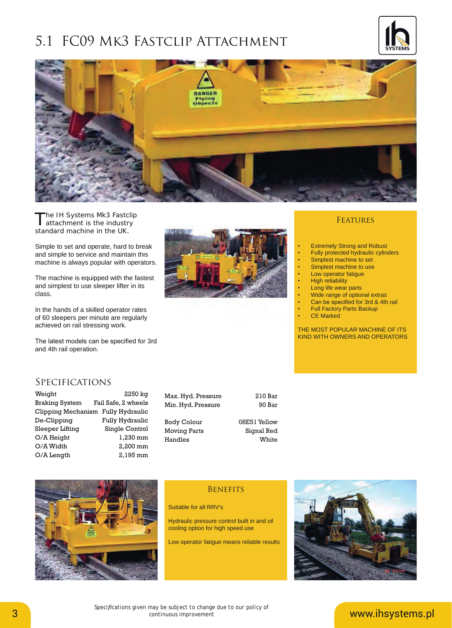### 5.1 FC09 MK3 FASTCLIP ATTACHMENT





The IH Systems Mk3 Fastclip<br>attachment is the industry standard machine in the UK.

Simple to set and operate, hard to break and simple to service and maintain this machine is always popular with operators.

The machine is equipped with the fastest and simplest to use sleeper lifter in its class.

In the hands of a skilled operator rates of 60 sleepers per minute are regularly achieved on rail stressing work.

The latest models can be specified for 3rd and 4th rail operation.



#### **FEATURES**

- **Extremely Strong and Robust**
- Fully protected hydraulic cylinders
- Simplest machine to set
- **Simplest machine to use**
- Low operator fatigue • High reliability
- 
- Long life wear parts
- Wide range of optional extras
- Can be specified for 3rd & 4th rail
- Full Factory Parts Backup
- **CE Marked**

THE MOST POPULAR MACHINE OF ITS KIND WITH OWNERS AND OPERATORS

### **SPECIFICATIONS**

| Weight                             | 2250 kg             |
|------------------------------------|---------------------|
| <b>Braking System</b>              | Fail Safe, 2 wheels |
| Clipping Mechanism Fully Hydraulic |                     |
| De-Clipping                        | Fully Hydraulic     |
| Sleeper Lifting                    | Single Control      |
| O/A Height                         | 1,230 mm            |
| O/A Width                          | 2,200 mm            |
| O/A Length                         | 2,195 mm            |

| Max. Hyd. Pressure  | 210 Bar      |
|---------------------|--------------|
| Min. Hyd. Pressure  | 90 Bar       |
|                     |              |
| <b>Body Colour</b>  | 08E51 Yellow |
| <b>Moving Parts</b> | Signal Red   |
| Handles             | <b>Mhite</b> |



#### **BENEFITS**

Suitable for all RRV's

Handles

Hydraulic pressure control built in and oil cooling option for high speed use

Low operator fatigue means reliable results

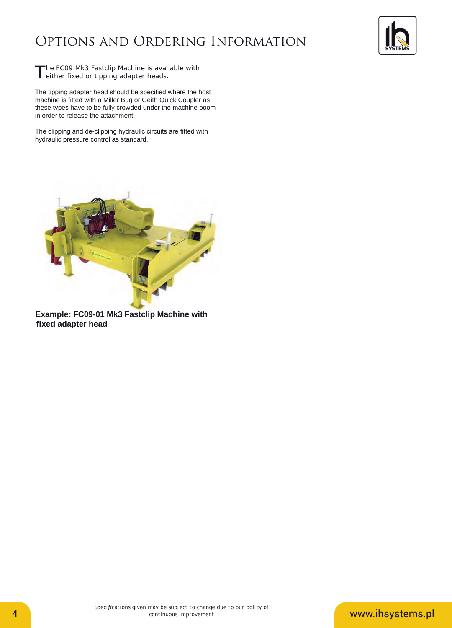## Options and Ordering Information



The FC09 Mk3 Fastclip Machine is available with<br>
either fixed or tipping adapter heads.

The tipping adapter head should be specified where the host machine is fitted with a Miller Bug or Geith Quick Coupler as these types have to be fully crowded under the machine boom in order to release the attachment.

The clipping and de-clipping hydraulic circuits are fitted with hydraulic pressure control as standard.



**Example: FC09-01 Mk3 Fastclip Machine with fixed adapter head**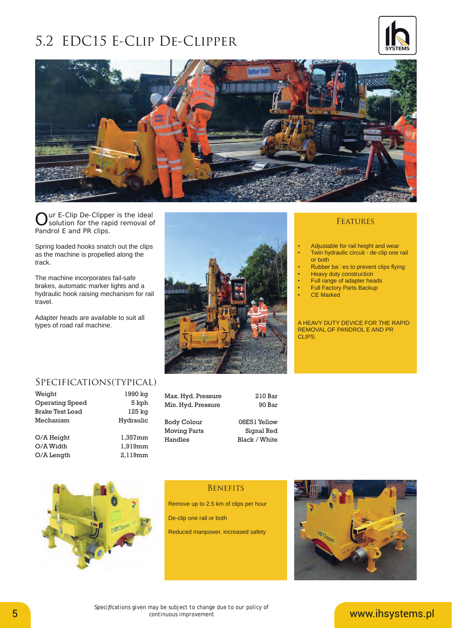### 5.2 EDC15 E-Clip De-Clipper





Our E-Clip De-Clipper is the ideal<br>
Solution for the rapid removal of Pandrol E and PR clips.

Spring loaded hooks snatch out the clips as the machine is propelled along the track.

The machine incorporates fail-safe brakes, automatic marker lights and a hydraulic hook raising mechanism for rail travel.

Adapter heads are available to suit all types of road rail machine.



#### **FEATURES**

- Adjustable for rail height and wear
- Twin hydraulic circuit de-clip one rail or both
- Rubber balles to prevent clips flying • Heavy duty construction
- Full range of adapter heads
- Full Factory Parts Backup
- **CE Marked**

A HEAVY DUTY DEVICE FOR THE RAPID REMOVAL OF PANDROL E AND PR CLIPS.

### Specifications(typical)

| Weight                 | 1990 kg          |
|------------------------|------------------|
| <b>Operating Speed</b> | 5 kph            |
| <b>Brake Test Load</b> | $125 \text{ kg}$ |
| Mechanism              | Hydraulic        |
| O/A Height             | 1,357mm          |
| O/A Width              | 1,919mm          |
| O/A Length             | 2,119mm          |

| Max. Hyd. Pressure  | 210 Bar       |
|---------------------|---------------|
| Min. Hyd. Pressure  | 90 Bar        |
|                     |               |
| <b>Body Colour</b>  | 08E51 Yellow  |
| <b>Moving Parts</b> | Signal Red    |
| Handles             | Black / White |





### **BENEFITS**

Remove up to 2.5 km of clips per hour

De-clip one rail or both

Reduced manpower, increased safety